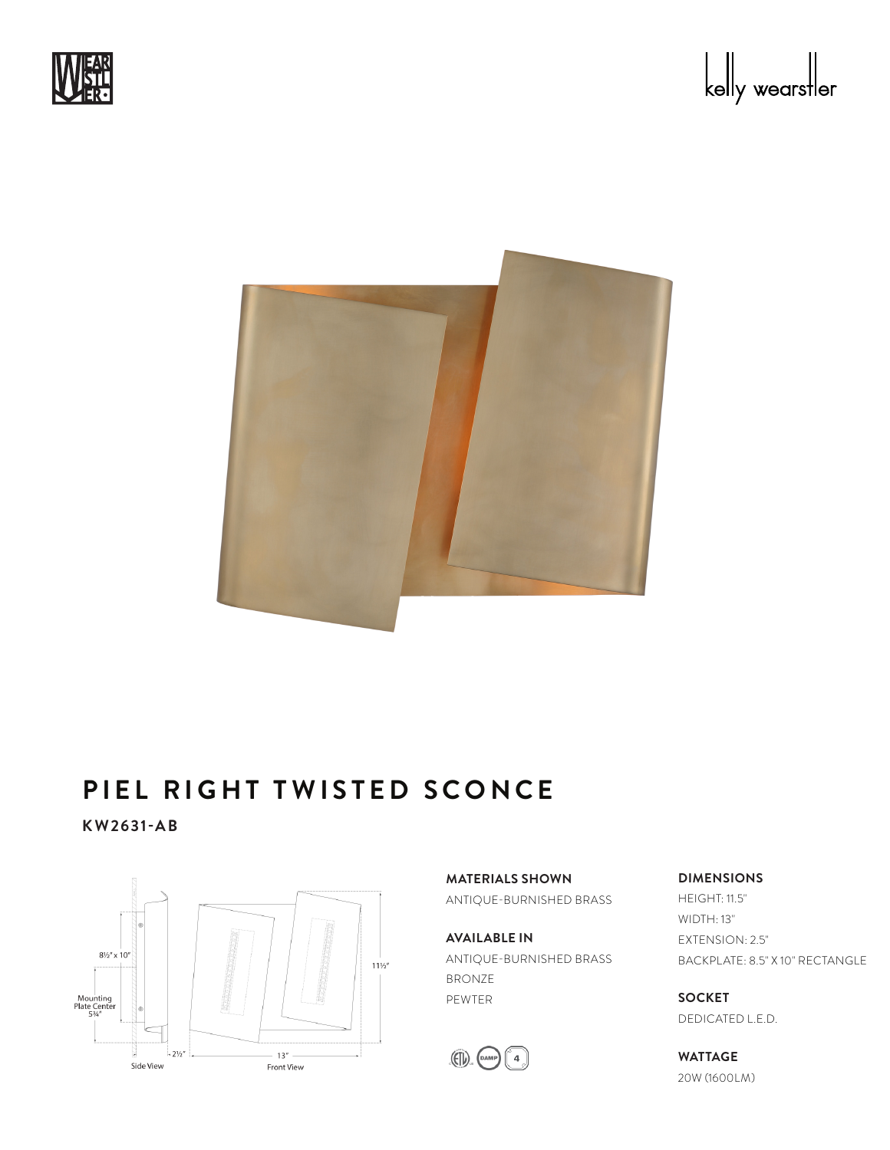



## **PIEL RIGHT TWISTED SCONCE**

**KW2631-AB**



**MATERIALS SHOWN** ANTIQUE-BURNISHED BRASS

**AVAILABLE IN** ANTIQUE-BURNISHED BRASS BRONZE PEWTER



**DIMENSIONS**

HEIGHT: 11.5" WIDTH: 13" EXTENSION: 2.5" BACKPLATE: 8.5" X 10" RECTANGLE

**SOCKET** DEDICATED L.E.D.

**WATTAGE** 20W (1600LM)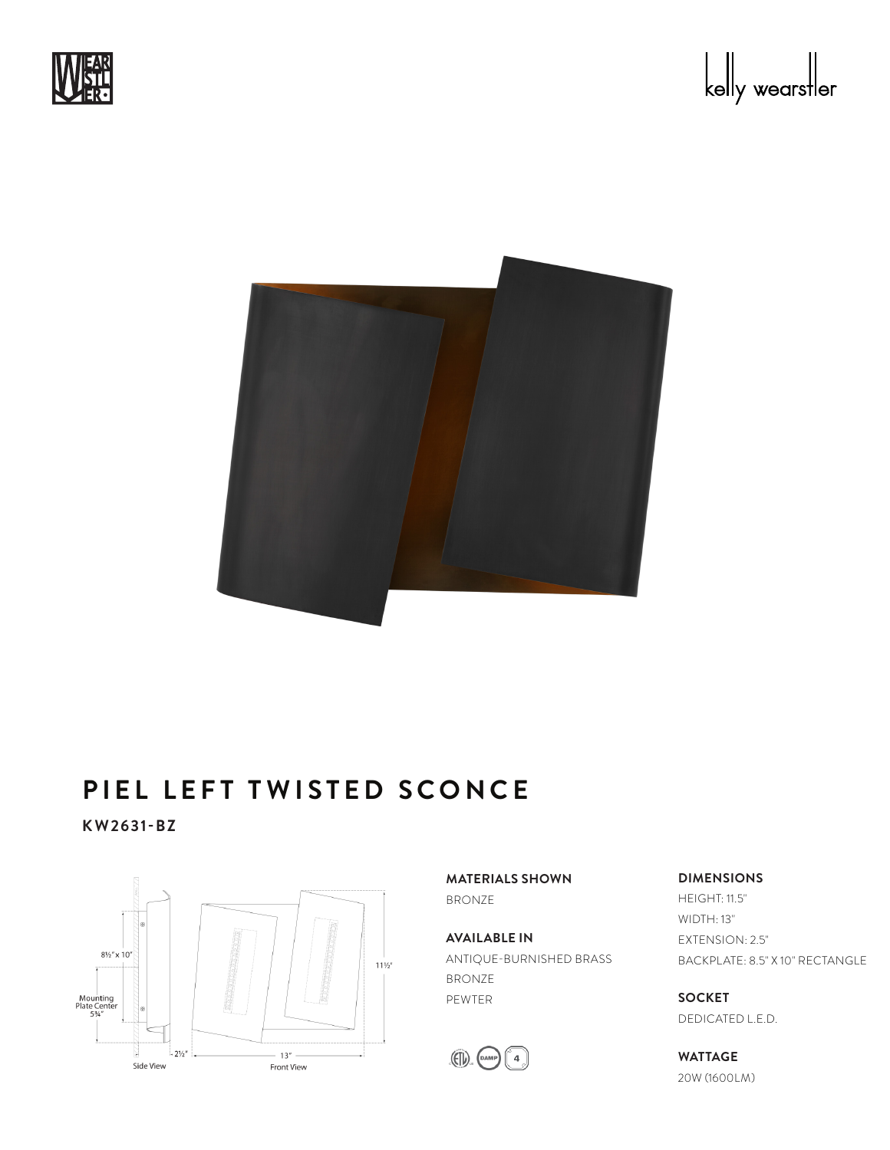



## **PIEL LEFT TWISTED SCONCE**

**KW2631-BZ**



**MATERIALS SHOWN** BRONZE

**AVAILABLE IN** ANTIQUE-BURNISHED BRASS BRONZE PEWTER



#### **DIMENSIONS**

HEIGHT: 11.5" WIDTH: 13" EXTENSION: 2.5" BACKPLATE: 8.5" X 10" RECTANGLE

**SOCKET** DEDICATED L.E.D.

**WATTAGE** 20W (1600LM)